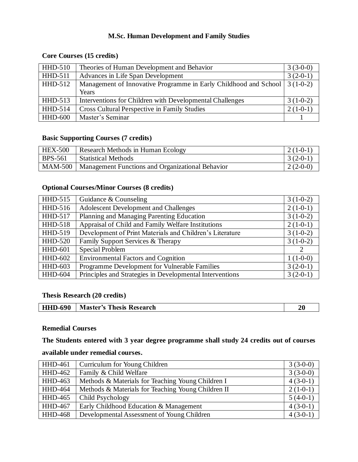# **M.Sc. Human Development and Family Studies**

# **Core Courses (15 credits)**

| $HHD-510$      | Theories of Human Development and Behavior                                   | $3(3-0-0)$ |
|----------------|------------------------------------------------------------------------------|------------|
| HHD-511        | Advances in Life Span Development                                            | $3(2-0-1)$ |
| $HHD-512$      | Management of Innovative Programme in Early Childhood and School   3 (1-0-2) |            |
|                | Years                                                                        |            |
| $HHD-513$      | Interventions for Children with Developmental Challenges                     | $3(1-0-2)$ |
| HHD-514        | Cross Cultural Perspective in Family Studies                                 | $2(1-0-1)$ |
| <b>HHD-600</b> | Master's Seminar                                                             |            |

## **Basic Supporting Courses (7 credits)**

| <b>HEX-500</b> | Research Methods in Human Ecology                          | $2(1-0-1)$ |
|----------------|------------------------------------------------------------|------------|
| <b>BPS-561</b> | <b>Statistical Methods</b>                                 | $3(2-0-1)$ |
|                | MAM-500   Management Functions and Organizational Behavior | $2(2-0-0)$ |

# **Optional Courses/Minor Courses (8 credits)**

| HHD-515        | Guidance & Counseling                                    | $3(1-0-2)$ |
|----------------|----------------------------------------------------------|------------|
| HHD-516        | <b>Adolescent Development and Challenges</b>             | $2(1-0-1)$ |
| <b>HHD-517</b> | Planning and Managing Parenting Education                | $3(1-0-2)$ |
| <b>HHD-518</b> | Appraisal of Child and Family Welfare Institutions       | $2(1-0-1)$ |
| HHD-519        | Development of Print Materials and Children's Literature | $3(1-0-2)$ |
| <b>HHD-520</b> | Family Support Services & Therapy                        | $3(1-0-2)$ |
| <b>HHD-601</b> | Special Problem                                          | 2          |
| <b>HHD-602</b> | <b>Environmental Factors and Cognition</b>               | $1(1-0-0)$ |
| <b>HHD-603</b> | Programme Development for Vulnerable Families            | $3(2-0-1)$ |
| <b>HHD-604</b> | Principles and Strategies in Developmental Interventions | $3(2-0-1)$ |

### **Thesis Research (20 credits)**

## **Remedial Courses**

**The Students entered with 3 year degree programme shall study 24 credits out of courses** 

### **available under remedial courses.**

| <b>HHD-461</b> | Curriculum for Young Children                      | $3(3-0-0)$ |
|----------------|----------------------------------------------------|------------|
| HHD-462        | Family & Child Welfare                             | $3(3-0-0)$ |
| HHD-463        | Methods & Materials for Teaching Young Children I  | $4(3-0-1)$ |
| <b>HHD-464</b> | Methods & Materials for Teaching Young Children II | $2(1-0-1)$ |
| <b>HHD-465</b> | Child Psychology                                   | $5(4-0-1)$ |
| <b>HHD-467</b> | Early Childhood Education & Management             | $4(3-0-1)$ |
| <b>HHD-468</b> | Developmental Assessment of Young Children         | $4(3-0-1)$ |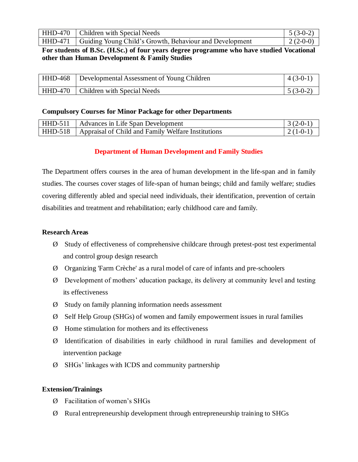| HHD-470   Children with Special Needs                             | $5(3-0-2)$       |
|-------------------------------------------------------------------|------------------|
| HHD-471   Guiding Young Child's Growth, Behaviour and Development | $\mid$ 2 (2-0-0) |

## **For students of B.Sc. (H.Sc.) of four years degree programme who have studied Vocational other than Human Development & Family Studies**

| HHD-468   Developmental Assessment of Young Children | $4(3-0-1)$ |
|------------------------------------------------------|------------|
| HHD-470   Children with Special Needs                | $5(3-0-2)$ |

### **Compulsory Courses for Minor Package for other Departments**

| HHD-511   Advances in Life Span Development                  | $\mid$ 3 (2-0-1) |
|--------------------------------------------------------------|------------------|
| HHD-518   Appraisal of Child and Family Welfare Institutions | $(2(1-0-1))$     |

### **Department of Human Development and Family Studies**

The Department offers courses in the area of human development in the life-span and in family studies. The courses cover stages of life-span of human beings; child and family welfare; studies covering differently abled and special need individuals, their identification, prevention of certain disabilities and treatment and rehabilitation; early childhood care and family.

### **Research Areas**

- Ø Study of effectiveness of comprehensive childcare through pretest-post test experimental and control group design research
- Ø Organizing 'Farm Crèche' as a rural model of care of infants and pre-schoolers
- Ø Development of mothers' education package, its delivery at community level and testing its effectiveness
- Ø Study on family planning information needs assessment
- Ø Self Help Group (SHGs) of women and family empowerment issues in rural families
- Ø Home stimulation for mothers and its effectiveness
- Ø Identification of disabilities in early childhood in rural families and development of intervention package
- Ø SHGs' linkages with ICDS and community partnership

### **Extension/Trainings**

- Ø Facilitation of women's SHGs
- Ø Rural entrepreneurship development through entrepreneurship training to SHGs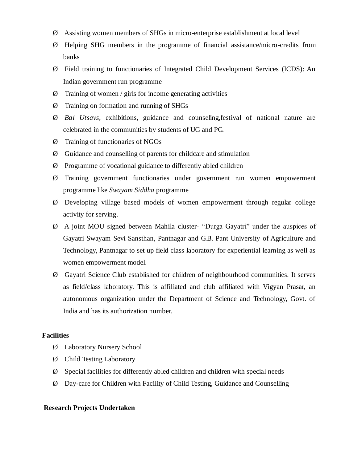- Ø Assisting women members of SHGs in micro-enterprise establishment at local level
- Ø Helping SHG members in the programme of financial assistance/micro-credits from banks
- Ø Field training to functionaries of Integrated Child Development Services (ICDS): An Indian government run programme
- $\varnothing$  Training of women / girls for income generating activities
- Ø Training on formation and running of SHGs
- Ø *Bal Utsavs*, exhibitions, guidance and counseling,festival of national nature are celebrated in the communities by students of UG and PG.
- Ø Training of functionaries of NGOs
- Ø Guidance and counselling of parents for childcare and stimulation
- Ø Programme of vocational guidance to differently abled children
- Ø Training government functionaries under government run women empowerment programme like *Swayam Siddha* programme
- Ø Developing village based models of women empowerment through regular college activity for serving.
- Ø A joint MOU signed between Mahila cluster- "Durga Gayatri" under the auspices of Gayatri Swayam Sevi Sansthan, Pantnagar and G.B. Pant University of Agriculture and Technology, Pantnagar to set up field class laboratory for experiential learning as well as women empowerment model.
- Ø Gayatri Science Club established for children of neighbourhood communities. It serves as field/class laboratory. This is affiliated and club affiliated with Vigyan Prasar, an autonomous organization under the Department of Science and Technology, Govt. of India and has its authorization number.

### **Facilities**

- Ø Laboratory Nursery School
- Ø Child Testing Laboratory
- Ø Special facilities for differently abled children and children with special needs
- Ø Day-care for Children with Facility of Child Testing, Guidance and Counselling

#### **Research Projects Undertaken**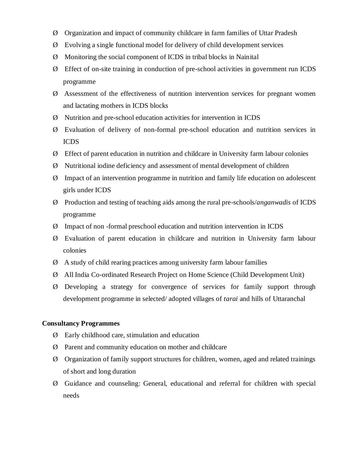- Ø Organization and impact of community childcare in farm families of Uttar Pradesh
- Ø Evolving a single functional model for delivery of child development services
- Ø Monitoring the social component of ICDS in tribal blocks in Nainital
- Ø Effect of on-site training in conduction of pre-school activities in government run ICDS programme
- Ø Assessment of the effectiveness of nutrition intervention services for pregnant women and lactating mothers in ICDS blocks
- Ø Nutrition and pre-school education activities for intervention in ICDS
- Ø Evaluation of delivery of non-formal pre-school education and nutrition services in ICDS
- Ø Effect of parent education in nutrition and childcare in University farm labour colonies
- Ø Nutritional iodine deficiency and assessment of mental development of children
- Ø Impact of an intervention programme in nutrition and family life education on adolescent girls under ICDS
- Ø Production and testing of teaching aids among the rural pre-schools/*anganwadis* of ICDS programme
- Ø Impact of non -formal preschool education and nutrition intervention in ICDS
- Ø Evaluation of parent education in childcare and nutrition in University farm labour colonies
- Ø A study of child rearing practices among university farm labour families
- Ø All India Co-ordinated Research Project on Home Science (Child Development Unit)
- Ø Developing a strategy for convergence of services for family support through development programme in selected/ adopted villages of *tarai* and hills of Uttaranchal

### **Consultancy Programmes**

- Ø Early childhood care, stimulation and education
- Ø Parent and community education on mother and childcare
- Ø Organization of family support structures for children, women, aged and related trainings of short and long duration
- Ø Guidance and counseling: General, educational and referral for children with special needs